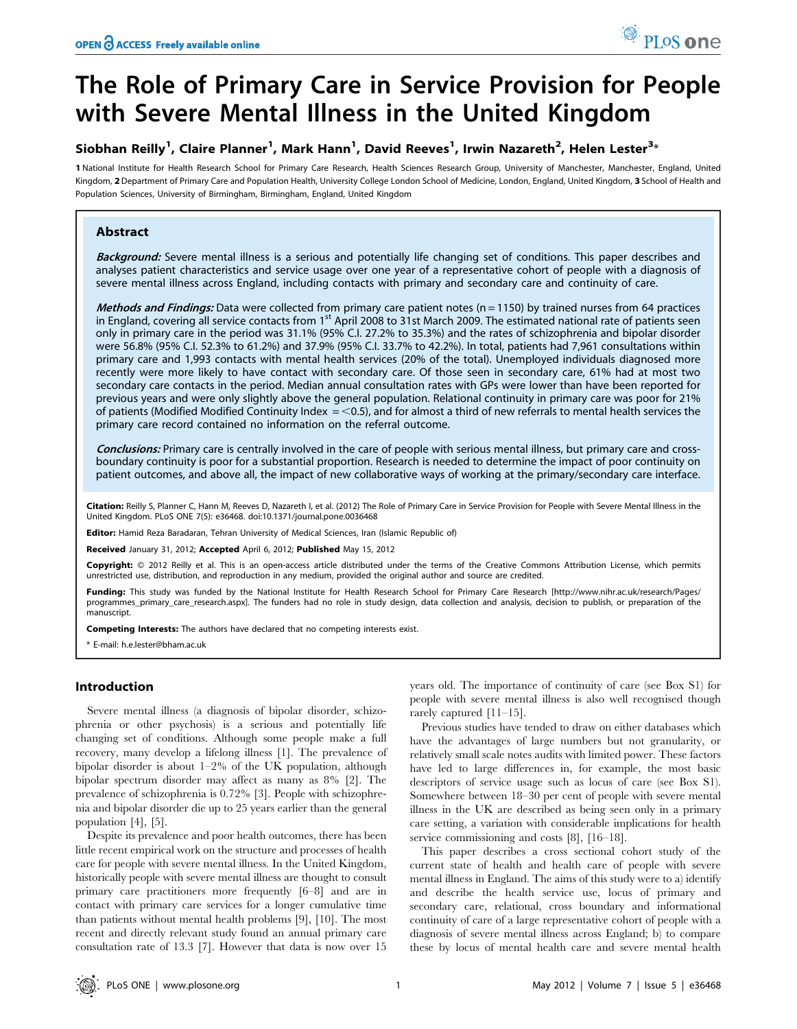# The Role of Primary Care in Service Provision for People with Severe Mental Illness in the United Kingdom

## Siobhan Reilly<sup>1</sup>, Claire Planner<sup>1</sup>, Mark Hann<sup>1</sup>, David Reeves<sup>1</sup>, Irwin Nazareth<sup>2</sup>, Helen Lester<sup>3</sup>\*

1 National Institute for Health Research School for Primary Care Research, Health Sciences Research Group, University of Manchester, Manchester, England, United Kingdom, 2 Department of Primary Care and Population Health, University College London School of Medicine, London, England, United Kingdom, 3 School of Health and Population Sciences, University of Birmingham, Birmingham, England, United Kingdom

## Abstract

Background: Severe mental illness is a serious and potentially life changing set of conditions. This paper describes and analyses patient characteristics and service usage over one year of a representative cohort of people with a diagnosis of severe mental illness across England, including contacts with primary and secondary care and continuity of care.

Methods and Findings: Data were collected from primary care patient notes ( $n = 1150$ ) by trained nurses from 64 practices in England, covering all service contacts from 1<sup>st</sup> April 2008 to 31st March 2009. The estimated national rate of patients seen only in primary care in the period was 31.1% (95% C.I. 27.2% to 35.3%) and the rates of schizophrenia and bipolar disorder were 56.8% (95% C.I. 52.3% to 61.2%) and 37.9% (95% C.I. 33.7% to 42.2%). In total, patients had 7,961 consultations within primary care and 1,993 contacts with mental health services (20% of the total). Unemployed individuals diagnosed more recently were more likely to have contact with secondary care. Of those seen in secondary care, 61% had at most two secondary care contacts in the period. Median annual consultation rates with GPs were lower than have been reported for previous years and were only slightly above the general population. Relational continuity in primary care was poor for 21% of patients (Modified Modified Continuity Index  $=$  <0.5), and for almost a third of new referrals to mental health services the primary care record contained no information on the referral outcome.

Conclusions: Primary care is centrally involved in the care of people with serious mental illness, but primary care and crossboundary continuity is poor for a substantial proportion. Research is needed to determine the impact of poor continuity on patient outcomes, and above all, the impact of new collaborative ways of working at the primary/secondary care interface.

Citation: Reilly S, Planner C, Hann M, Reeves D, Nazareth I, et al. (2012) The Role of Primary Care in Service Provision for People with Severe Mental Illness in the United Kingdom. PLoS ONE 7(5): e36468. doi:10.1371/journal.pone.0036468

Editor: Hamid Reza Baradaran, Tehran University of Medical Sciences, Iran (Islamic Republic of)

Received January 31, 2012; Accepted April 6, 2012; Published May 15, 2012

Copyright: © 2012 Reilly et al. This is an open-access article distributed under the terms of the Creative Commons Attribution License, which permits unrestricted use, distribution, and reproduction in any medium, provided the original author and source are credited.

Funding: This study was funded by the National Institute for Health Research School for Primary Care Research [http://www.nihr.ac.uk/research/Pages/ programmes\_primary\_care\_research.aspx]. The funders had no role in study design, data collection and analysis, decision to publish, or preparation of the manuscript.

Competing Interests: The authors have declared that no competing interests exist.

\* E-mail: h.e.lester@bham.ac.uk

## Introduction

Severe mental illness (a diagnosis of bipolar disorder, schizophrenia or other psychosis) is a serious and potentially life changing set of conditions. Although some people make a full recovery, many develop a lifelong illness [1]. The prevalence of bipolar disorder is about 1–2% of the UK population, although bipolar spectrum disorder may affect as many as 8% [2]. The prevalence of schizophrenia is 0.72% [3]. People with schizophrenia and bipolar disorder die up to 25 years earlier than the general population [4], [5].

Despite its prevalence and poor health outcomes, there has been little recent empirical work on the structure and processes of health care for people with severe mental illness. In the United Kingdom, historically people with severe mental illness are thought to consult primary care practitioners more frequently [6–8] and are in contact with primary care services for a longer cumulative time than patients without mental health problems [9], [10]. The most recent and directly relevant study found an annual primary care consultation rate of 13.3 [7]. However that data is now over 15 years old. The importance of continuity of care (see Box S1) for people with severe mental illness is also well recognised though rarely captured [11–15].

Previous studies have tended to draw on either databases which have the advantages of large numbers but not granularity, or relatively small scale notes audits with limited power. These factors have led to large differences in, for example, the most basic descriptors of service usage such as locus of care (see Box S1). Somewhere between 18–30 per cent of people with severe mental illness in the UK are described as being seen only in a primary care setting, a variation with considerable implications for health service commissioning and costs [8], [16–18].

This paper describes a cross sectional cohort study of the current state of health and health care of people with severe mental illness in England. The aims of this study were to a) identify and describe the health service use, locus of primary and secondary care, relational, cross boundary and informational continuity of care of a large representative cohort of people with a diagnosis of severe mental illness across England; b) to compare these by locus of mental health care and severe mental health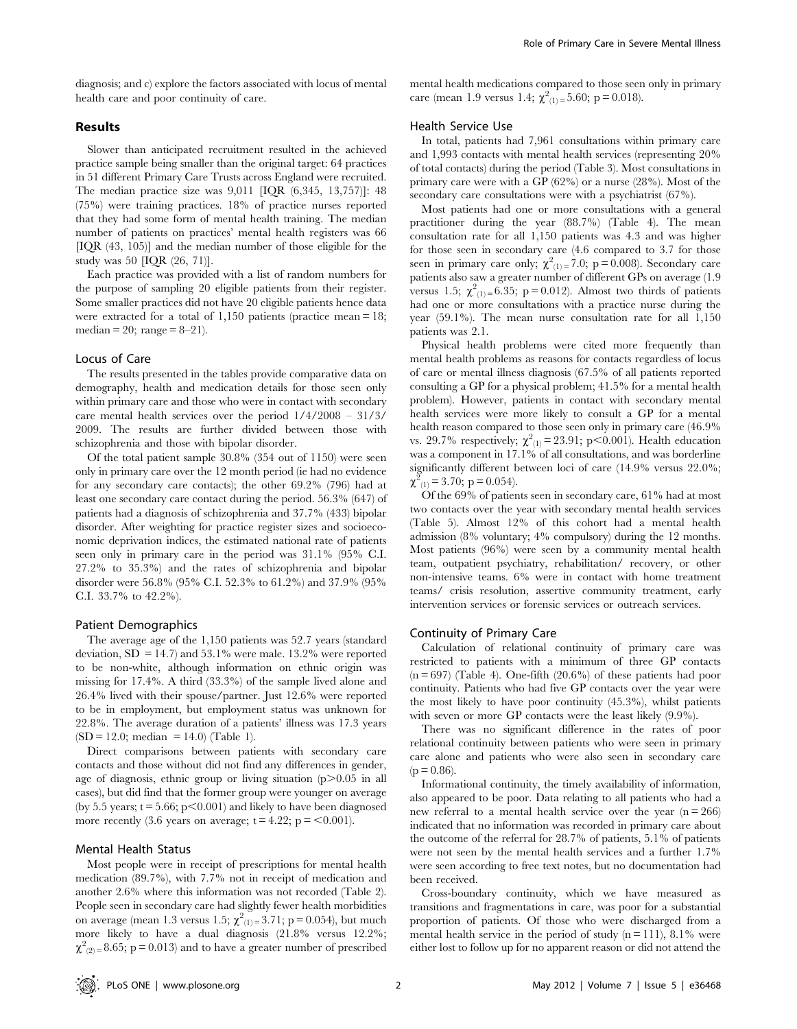diagnosis; and c) explore the factors associated with locus of mental health care and poor continuity of care.

## Results

Slower than anticipated recruitment resulted in the achieved practice sample being smaller than the original target: 64 practices in 51 different Primary Care Trusts across England were recruited. The median practice size was 9,011 [IQR (6,345, 13,757)]: 48 (75%) were training practices. 18% of practice nurses reported that they had some form of mental health training. The median number of patients on practices' mental health registers was 66 [IQR (43, 105)] and the median number of those eligible for the study was 50 [IQR (26, 71)].

Each practice was provided with a list of random numbers for the purpose of sampling 20 eligible patients from their register. Some smaller practices did not have 20 eligible patients hence data were extracted for a total of 1,150 patients (practice mean = 18; median = 20; range =  $8-21$ ).

## Locus of Care

The results presented in the tables provide comparative data on demography, health and medication details for those seen only within primary care and those who were in contact with secondary care mental health services over the period 1/4/2008 – 31/3/ 2009. The results are further divided between those with schizophrenia and those with bipolar disorder.

Of the total patient sample 30.8% (354 out of 1150) were seen only in primary care over the 12 month period (ie had no evidence for any secondary care contacts); the other 69.2% (796) had at least one secondary care contact during the period. 56.3% (647) of patients had a diagnosis of schizophrenia and 37.7% (433) bipolar disorder. After weighting for practice register sizes and socioeconomic deprivation indices, the estimated national rate of patients seen only in primary care in the period was 31.1% (95% C.I. 27.2% to 35.3%) and the rates of schizophrenia and bipolar disorder were 56.8% (95% C.I. 52.3% to 61.2%) and 37.9% (95% C.I. 33.7% to 42.2%).

#### Patient Demographics

The average age of the 1,150 patients was 52.7 years (standard deviation,  $SD = 14.7$  and  $53.1\%$  were male. 13.2% were reported to be non-white, although information on ethnic origin was missing for 17.4%. A third (33.3%) of the sample lived alone and 26.4% lived with their spouse/partner. Just 12.6% were reported to be in employment, but employment status was unknown for 22.8%. The average duration of a patients' illness was 17.3 years  $(SD = 12.0; \text{ median} = 14.0)$  (Table 1).

Direct comparisons between patients with secondary care contacts and those without did not find any differences in gender, age of diagnosis, ethnic group or living situation  $(p>0.05$  in all cases), but did find that the former group were younger on average (by 5.5 years;  $t = 5.66$ ;  $p < 0.001$ ) and likely to have been diagnosed more recently (3.6 years on average;  $t = 4.22$ ;  $p = 0.001$ ).

#### Mental Health Status

Most people were in receipt of prescriptions for mental health medication (89.7%), with 7.7% not in receipt of medication and another 2.6% where this information was not recorded (Table 2). People seen in secondary care had slightly fewer health morbidities on average (mean 1.3 versus 1.5;  $\chi^2(z) = 3.71$ ; p = 0.054), but much more likely to have a dual diagnosis (21.8% versus 12.2%;  $\chi^2_{(2)=}$  8.65; p = 0.013) and to have a greater number of prescribed

mental health medications compared to those seen only in primary care (mean 1.9 versus 1.4;  $\chi^2_{(1)} = 5.60$ ; p = 0.018).

#### Health Service Use

In total, patients had 7,961 consultations within primary care and 1,993 contacts with mental health services (representing 20% of total contacts) during the period (Table 3). Most consultations in primary care were with a GP (62%) or a nurse (28%). Most of the secondary care consultations were with a psychiatrist (67%).

Most patients had one or more consultations with a general practitioner during the year (88.7%) (Table 4). The mean consultation rate for all 1,150 patients was 4.3 and was higher for those seen in secondary care (4.6 compared to 3.7 for those seen in primary care only;  $\chi^2_{(1)} = 7.0$ ; p = 0.008). Secondary care patients also saw a greater number of different GPs on average (1.9 versus 1.5;  $\chi^2_{(1)} = 6.35$ ; p = 0.012). Almost two thirds of patients had one or more consultations with a practice nurse during the year (59.1%). The mean nurse consultation rate for all 1,150 patients was 2.1.

Physical health problems were cited more frequently than mental health problems as reasons for contacts regardless of locus of care or mental illness diagnosis (67.5% of all patients reported consulting a GP for a physical problem; 41.5% for a mental health problem). However, patients in contact with secondary mental health services were more likely to consult a GP for a mental health reason compared to those seen only in primary care (46.9% vs. 29.7% respectively;  $\chi^{2}_{(1)} = 23.91$ ; p<0.001). Health education was a component in 17.1% of all consultations, and was borderline significantly different between loci of care (14.9% versus 22.0%;  $\chi^2_{(1)} = 3.70$ ; p = 0.054).

Of the 69% of patients seen in secondary care, 61% had at most two contacts over the year with secondary mental health services (Table 5). Almost 12% of this cohort had a mental health admission (8% voluntary; 4% compulsory) during the 12 months. Most patients (96%) were seen by a community mental health team, outpatient psychiatry, rehabilitation/ recovery, or other non-intensive teams. 6% were in contact with home treatment teams/ crisis resolution, assertive community treatment, early intervention services or forensic services or outreach services.

#### Continuity of Primary Care

Calculation of relational continuity of primary care was restricted to patients with a minimum of three GP contacts  $(n = 697)$  (Table 4). One-fifth  $(20.6\%)$  of these patients had poor continuity. Patients who had five GP contacts over the year were the most likely to have poor continuity (45.3%), whilst patients with seven or more GP contacts were the least likely (9.9%).

There was no significant difference in the rates of poor relational continuity between patients who were seen in primary care alone and patients who were also seen in secondary care  $(p = 0.86)$ .

Informational continuity, the timely availability of information, also appeared to be poor. Data relating to all patients who had a new referral to a mental health service over the year  $(n = 266)$ indicated that no information was recorded in primary care about the outcome of the referral for 28.7% of patients, 5.1% of patients were not seen by the mental health services and a further 1.7% were seen according to free text notes, but no documentation had been received.

Cross-boundary continuity, which we have measured as transitions and fragmentations in care, was poor for a substantial proportion of patients. Of those who were discharged from a mental health service in the period of study  $(n = 111)$ , 8.1% were either lost to follow up for no apparent reason or did not attend the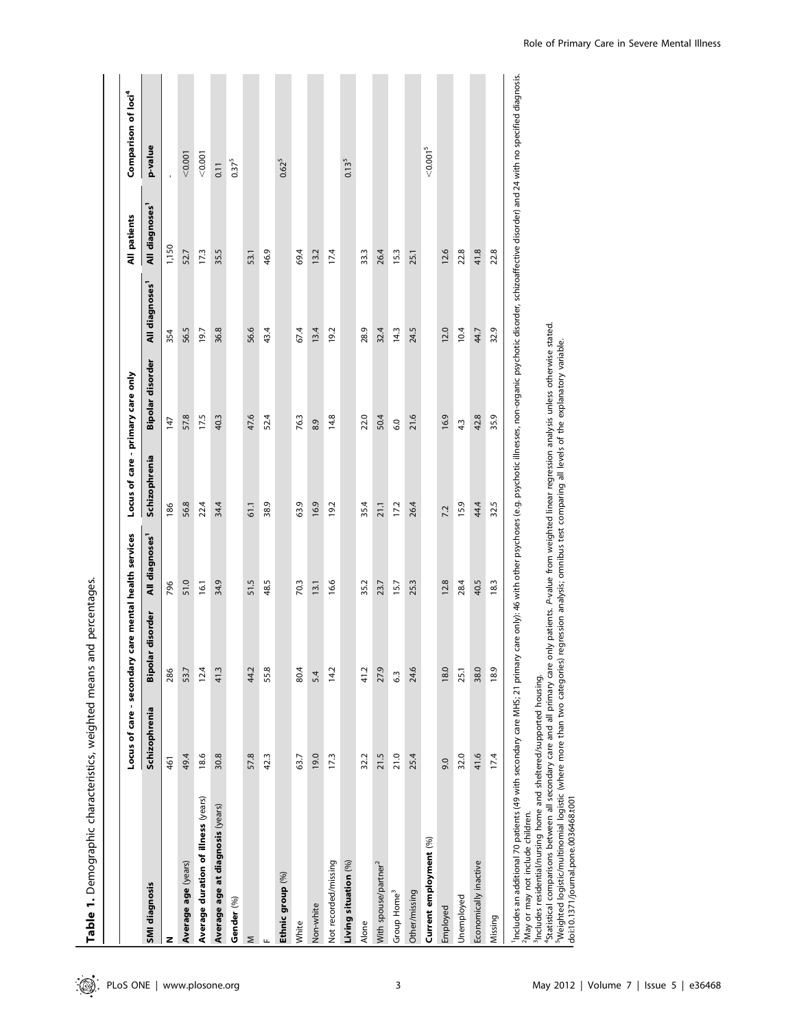|                                                                                                                                                                                                                                                                                                                                                                                                                                                                                                                                  | Locus of care - secondary |                  | care mental health services | Locus of care - primary care only |                                                                                     |                            | All patients               | Comparison of loci <sup>4</sup>                                                                                                                              |
|----------------------------------------------------------------------------------------------------------------------------------------------------------------------------------------------------------------------------------------------------------------------------------------------------------------------------------------------------------------------------------------------------------------------------------------------------------------------------------------------------------------------------------|---------------------------|------------------|-----------------------------|-----------------------------------|-------------------------------------------------------------------------------------|----------------------------|----------------------------|--------------------------------------------------------------------------------------------------------------------------------------------------------------|
| <b>SMI</b> diagnosis                                                                                                                                                                                                                                                                                                                                                                                                                                                                                                             | <b>Schizophrenia</b>      | Bipolar disorder | All diagnoses <sup>1</sup>  | Schizophrenia                     | Bipolar disorder                                                                    | All diagnoses <sup>1</sup> | All diagnoses <sup>1</sup> | p-value                                                                                                                                                      |
| z                                                                                                                                                                                                                                                                                                                                                                                                                                                                                                                                | 461                       | 286              | 796                         | 186                               | 147                                                                                 | 354                        | 1,150                      |                                                                                                                                                              |
| Average age (years)                                                                                                                                                                                                                                                                                                                                                                                                                                                                                                              | 49.4                      | 53.7             | 51.0                        | 56.8                              | 57.8                                                                                | 56.5                       | 52.7                       | 0.001                                                                                                                                                        |
| Average duration of illness (years)                                                                                                                                                                                                                                                                                                                                                                                                                                                                                              | 18.6                      | 12.4             | 16.1                        | 22.4                              | 17.5                                                                                | 19.7                       | 173                        | 0.001                                                                                                                                                        |
| Average age at diagnosis (years)                                                                                                                                                                                                                                                                                                                                                                                                                                                                                                 | 30.8                      | 41.3             | 34.9                        | 34.4                              | 40.3                                                                                | 36.8                       | 35.5                       | 0.11                                                                                                                                                         |
| Gender (%)                                                                                                                                                                                                                                                                                                                                                                                                                                                                                                                       |                           |                  |                             |                                   |                                                                                     |                            |                            | $0.37^{5}$                                                                                                                                                   |
| Σ                                                                                                                                                                                                                                                                                                                                                                                                                                                                                                                                | 57.8                      | 44.2             | 51.5                        | 61.1                              | 47.6                                                                                | 56.6                       | 53.1                       |                                                                                                                                                              |
|                                                                                                                                                                                                                                                                                                                                                                                                                                                                                                                                  | 42.3                      | 55.8             | 48.5                        | 38.9                              | 52.4                                                                                | 43.4                       | 46.9                       |                                                                                                                                                              |
| Ethnic group (%)                                                                                                                                                                                                                                                                                                                                                                                                                                                                                                                 |                           |                  |                             |                                   |                                                                                     |                            |                            | $0.62^{5}$                                                                                                                                                   |
| White                                                                                                                                                                                                                                                                                                                                                                                                                                                                                                                            | 63.7                      | 80.4             | 70.3                        | 63.9                              | 76.3                                                                                | 67.4                       | 69.4                       |                                                                                                                                                              |
| Non-white                                                                                                                                                                                                                                                                                                                                                                                                                                                                                                                        | 19.0                      | 5.4              | 13.1                        | 16.9                              | 8.9                                                                                 | 13.4                       | 13.2                       |                                                                                                                                                              |
| Not recorded/missing                                                                                                                                                                                                                                                                                                                                                                                                                                                                                                             | 17.3                      | 14.2             | 16.6                        | 19.2                              | 14.8                                                                                | 19.2                       | 17.4                       |                                                                                                                                                              |
| Living situation (%)                                                                                                                                                                                                                                                                                                                                                                                                                                                                                                             |                           |                  |                             |                                   |                                                                                     |                            |                            | $0.13^{5}$                                                                                                                                                   |
| Alone                                                                                                                                                                                                                                                                                                                                                                                                                                                                                                                            | 32.2                      | 41.2             | 35.2                        | 35.4                              | 22.0                                                                                | 28.9                       | 33.3                       |                                                                                                                                                              |
| With spouse/partner <sup>2</sup>                                                                                                                                                                                                                                                                                                                                                                                                                                                                                                 | 21.5                      | 27.9             | 23.7                        | 21.1                              | 50.4                                                                                | 32.4                       | 26.4                       |                                                                                                                                                              |
| Group Home <sup>3</sup>                                                                                                                                                                                                                                                                                                                                                                                                                                                                                                          | 21.0                      | $6.\overline{3}$ | 15.7                        | 17.2                              | 6.0                                                                                 | 14.3                       | 15.3                       |                                                                                                                                                              |
| Other/missing                                                                                                                                                                                                                                                                                                                                                                                                                                                                                                                    | 25.4                      | 24.6             | 25.3                        | 26.4                              | 21.6                                                                                | 24.5                       | 25.1                       |                                                                                                                                                              |
| Current employment (%)                                                                                                                                                                                                                                                                                                                                                                                                                                                                                                           |                           |                  |                             |                                   |                                                                                     |                            |                            | < 0.001 <sup>5</sup>                                                                                                                                         |
| Employed                                                                                                                                                                                                                                                                                                                                                                                                                                                                                                                         | 9.0                       | 18.0             | 12.8                        | 7.2                               | 16.9                                                                                | 12.0                       | 12.6                       |                                                                                                                                                              |
| Unemployed                                                                                                                                                                                                                                                                                                                                                                                                                                                                                                                       | 32.0                      | 25.1             | 28.4                        | 15.9                              | 4.3                                                                                 | 10.4                       | 22.8                       |                                                                                                                                                              |
| Economically inactive                                                                                                                                                                                                                                                                                                                                                                                                                                                                                                            | 41.6                      | 38.0             | 40.5                        | 44.4                              | 42.8                                                                                | 44.7                       | 41.8                       |                                                                                                                                                              |
| Missing                                                                                                                                                                                                                                                                                                                                                                                                                                                                                                                          | 17.4                      | 18.9             | 18.3                        | 32.5                              | 35.9                                                                                | 32.9                       | 22.8                       |                                                                                                                                                              |
| <sup>4</sup> Statistical comparisons between all secondary care and all primary care only patients. P-value from weighted linear regression analysis unless otherwise stated.<br>Includes an additional 70 patients (49 with secondary care MHS; 21 primary<br><sup>5</sup> Weighted logistic/multinomial logistic (where more than two categories)<br><sup>3</sup> Includes residential/nursing home and sheltered/supported housing.<br>doi:10.1371/journal.pone.0036468.t001<br><sup>2</sup> May or may not include children. |                           |                  |                             |                                   | regression analysis; omnibus test comparing all levels of the explanatory variable. |                            |                            | care only): 46 with other psychoses (e.g. psychotic illnesses, non-organic psychotic disorder, schizoaffective disorder) and 24 with no specified diagnosis. |

 $\overline{1}$ 

Role of Primary Care in Severe Mental Illness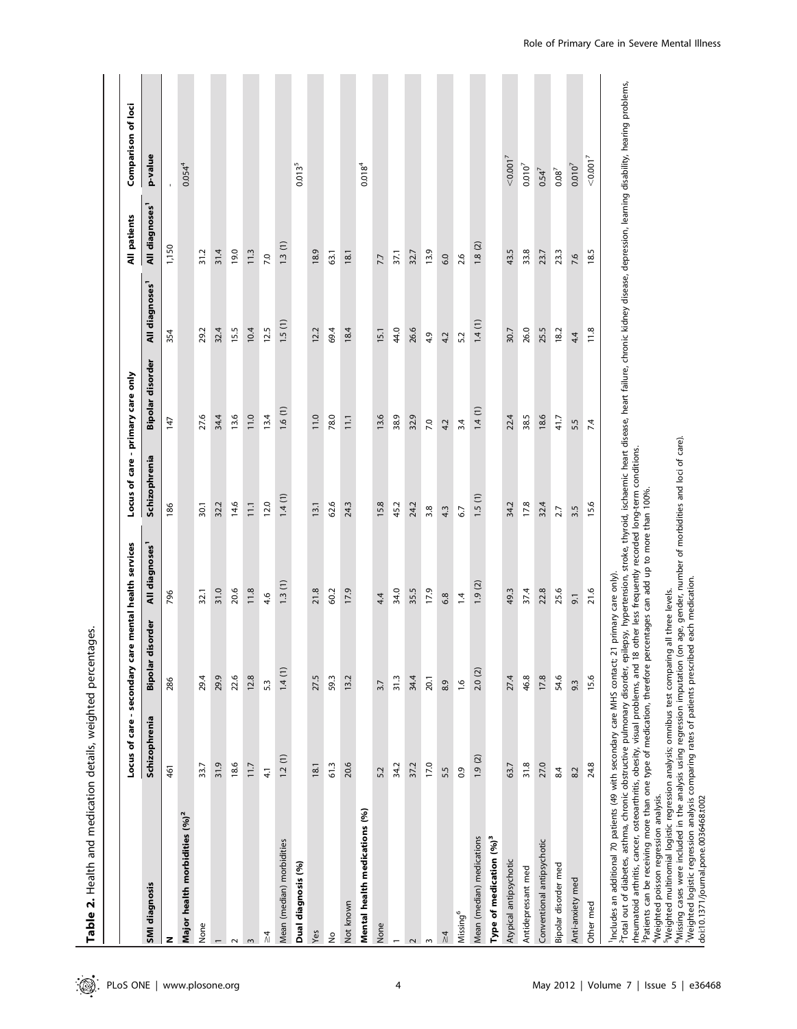|                                                                                                                                                                                                                                                              | Locus of care - secondary |                        | care mental health services                             | Locus of care - primary care only |                  |                            | All patients               | Comparison of loci                                                                                                                                         |
|--------------------------------------------------------------------------------------------------------------------------------------------------------------------------------------------------------------------------------------------------------------|---------------------------|------------------------|---------------------------------------------------------|-----------------------------------|------------------|----------------------------|----------------------------|------------------------------------------------------------------------------------------------------------------------------------------------------------|
| <b>SMI diagnosis</b>                                                                                                                                                                                                                                         | Schizophrenia             | disorder<br>Bipola     | All diagnoses'                                          | Schizophrenia                     | Bipolar disorder | All diagnoses <sup>1</sup> | All diagnoses <sup>1</sup> | p-value                                                                                                                                                    |
| z                                                                                                                                                                                                                                                            | 461                       | 286                    | 796                                                     | 186                               | 147              | 354                        | 1,150                      |                                                                                                                                                            |
| Major health morbidities (%) <sup>2</sup>                                                                                                                                                                                                                    |                           |                        |                                                         |                                   |                  |                            |                            | 0.054 <sup>4</sup>                                                                                                                                         |
| None                                                                                                                                                                                                                                                         | 33.7                      | 29.4                   | 32.1                                                    | 30.1                              | 27.6             | 29.2                       | 31.2                       |                                                                                                                                                            |
|                                                                                                                                                                                                                                                              | 31.9                      | 29.9                   | 31.0                                                    | 32.2                              | 34.4             | 32.4                       | 31.4                       |                                                                                                                                                            |
| $\sim$                                                                                                                                                                                                                                                       | 18.6                      | 22.6                   | 20.6                                                    | 14.6                              | 13.6             | 15.5                       | 19.0                       |                                                                                                                                                            |
| $\sim$                                                                                                                                                                                                                                                       | 11.7                      | 12.8                   | 11.8                                                    | 11.1                              | 11.0             | 10.4                       | 11.3                       |                                                                                                                                                            |
| $\frac{\lambda}{\lambda}$                                                                                                                                                                                                                                    | $\overline{4}$            | 5.3                    | 4.6                                                     | 12.0                              | 13.4             | 12.5                       | 7.0                        |                                                                                                                                                            |
| Mean (median) morbidities                                                                                                                                                                                                                                    | 1.2(1)                    | 1.4(1)                 | 1.3(1)                                                  | 1.4(1)                            | 1.6(1)           | 1.5(1)                     | 1.3(1)                     |                                                                                                                                                            |
| Dual diagnosis (%)                                                                                                                                                                                                                                           |                           |                        |                                                         |                                   |                  |                            |                            | 0.0135                                                                                                                                                     |
| Yes                                                                                                                                                                                                                                                          | 18.1                      | 27.5                   | 21.8                                                    | 13.1                              | 11.0             | 12.2                       | 18.9                       |                                                                                                                                                            |
| $\hat{\mathsf{z}}$                                                                                                                                                                                                                                           | 61.3                      | 59.3                   | 60.2                                                    | 62.6                              | 78.0             | 69.4                       | 63.1                       |                                                                                                                                                            |
| Not known                                                                                                                                                                                                                                                    | 20.6                      | 13.2                   | 17.9                                                    | 24.3                              | 11.1             | 18.4                       | 18.1                       |                                                                                                                                                            |
| Mental health medications (%)                                                                                                                                                                                                                                |                           |                        |                                                         |                                   |                  |                            |                            | $0.018^{4}$                                                                                                                                                |
| None                                                                                                                                                                                                                                                         | 5.2                       | 3.7                    | 4.4                                                     | 15.8                              | 13.6             | 15.1                       | 7.7                        |                                                                                                                                                            |
|                                                                                                                                                                                                                                                              | 34.2                      | 31.3                   | 34.0                                                    | 45.2                              | 38.9             | 44.0                       | 37.1                       |                                                                                                                                                            |
| $\sim$                                                                                                                                                                                                                                                       | 37.2                      | 34.4                   | 35.5                                                    | 24.2                              | 32.9             | 26.6                       | 32.7                       |                                                                                                                                                            |
| $\,$ $\,$                                                                                                                                                                                                                                                    | 17.0                      | 20.1                   | 17.9                                                    | 3.8                               | 7.0              | 4.9                        | 13.9                       |                                                                                                                                                            |
| $\frac{1}{4}$                                                                                                                                                                                                                                                | 5.5                       | 8.9                    | 6.8                                                     | 4.3                               | 4.2              | 4.2                        | 6.0                        |                                                                                                                                                            |
| Missing <sup>6</sup>                                                                                                                                                                                                                                         | 0.9                       | 1.6                    | $\overline{1}$                                          | 6.7                               | 3.4              | 5.2                        | 2.6                        |                                                                                                                                                            |
| Mean (median) medications                                                                                                                                                                                                                                    | 1.9(2)                    | 2.0(2)                 | 1.9(2)                                                  | 1.5(1)                            | 1.4(1)           | 1.4(1)                     | 1.8(2)                     |                                                                                                                                                            |
| Type of medication (%) <sup>3</sup>                                                                                                                                                                                                                          |                           |                        |                                                         |                                   |                  |                            |                            |                                                                                                                                                            |
| Atypical antipsychotic                                                                                                                                                                                                                                       | 63.7                      | 27.4                   | 49.3                                                    | 34.2                              | 22.4             | 30.7                       | 43.5                       | < 0.001 <sup>7</sup>                                                                                                                                       |
| Antidepressant med                                                                                                                                                                                                                                           | 31.8                      | 46.8                   | 37.4                                                    | 17.8                              | 38.5             | 26.0                       | 33.8                       | $0.010^7$                                                                                                                                                  |
| Conventional antipsychotic                                                                                                                                                                                                                                   | 27.0                      | 17.8                   | 22.8                                                    | 32.4                              | 18.6             | 25.5                       | 23.7                       | $0.54^{7}$                                                                                                                                                 |
| Bipolar disorder med                                                                                                                                                                                                                                         | 8.4                       | 54.6                   | 25.6                                                    | 2.7                               | 41.7             | 18.2                       | 23.3                       | $0.08^7$                                                                                                                                                   |
| Anti-anxiety med                                                                                                                                                                                                                                             | 8.2                       | 9.3                    | $\overline{9}$ .                                        | 3.5                               | 5.5              | 4.4                        | 7.6                        | $0.010^{7}$                                                                                                                                                |
| Other med                                                                                                                                                                                                                                                    | 24.8                      | 15.6                   | 21.6                                                    | 15.6                              | 7.4              | 11.8                       | 18.5                       | < 0.001 <sup>7</sup>                                                                                                                                       |
| <sup>1</sup> Includes an additional 70 patients (49 with secondary care MHS contact;<br><sup>2</sup> Total out of diabetes, asthma, chronic obstructive pulmonary disorder, e<br>rheumatoid arthritis, cancer, osteoarthritis, obesity, visual problems, and |                           | 21 primary care only). | 18 other less frequently recorded long-term conditions. |                                   |                  |                            |                            | pilepsy, hypertension, stroke, thyroid, ischaemic heart disease, heart failure, chronic kidney disease, depression, learning disability, hearing problems, |

Table 2. Health and medication details, weighted percentages. Table 2. Health and medication details, weighted percentages. 3Patients can be receiving more than one type of medication, therefore percentages can add up to more than 100%.

4Weighted poisson regression analysis.

5Weighted multinomial logistic regression analysis; omnibus test comparing all three levels.

<sup>3</sup>Patients can be receiving more than one type of medication, therefore percentages can add up to more than 100%.<br><sup>4</sup>Weighted poisson regression analysis.<br><sup>5</sup>Weighted multinomial logistic regression analysis; omnibus test 6Missing cases were included in the analysis using regression imputation (on age, gender, number of morbidities and loci of care).

7Weighted logistic regression analysis comparing rates of patients prescribed each medication.

doi:10.1371/journal.pone.0036468.t002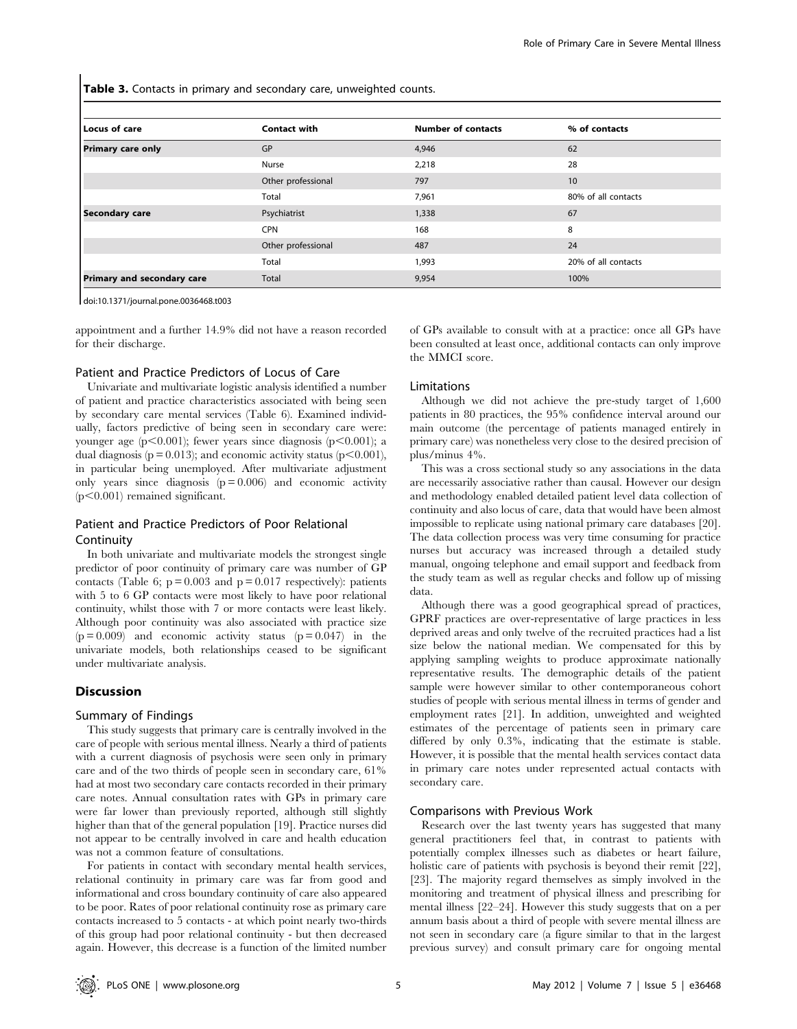Table 3. Contacts in primary and secondary care, unweighted counts.

| Locus of care              | <b>Contact with</b> | <b>Number of contacts</b> | % of contacts       |
|----------------------------|---------------------|---------------------------|---------------------|
| <b>Primary care only</b>   | GP                  | 4,946                     | 62                  |
|                            | Nurse               | 2,218                     | 28                  |
|                            | Other professional  | 797                       | 10                  |
|                            | Total               | 7,961                     | 80% of all contacts |
| Secondary care             | Psychiatrist        | 1,338                     | 67                  |
|                            | <b>CPN</b>          | 168                       | 8                   |
|                            | Other professional  | 487                       | 24                  |
|                            | Total               | 1,993                     | 20% of all contacts |
| Primary and secondary care | Total               | 9,954                     | 100%                |

doi:10.1371/journal.pone.0036468.t003

appointment and a further 14.9% did not have a reason recorded for their discharge.

#### Patient and Practice Predictors of Locus of Care

Univariate and multivariate logistic analysis identified a number of patient and practice characteristics associated with being seen by secondary care mental services (Table 6). Examined individually, factors predictive of being seen in secondary care were: younger age  $(p<0.001)$ ; fewer years since diagnosis  $(p<0.001)$ ; a dual diagnosis ( $p = 0.013$ ); and economic activity status ( $p \le 0.001$ ), in particular being unemployed. After multivariate adjustment only years since diagnosis  $(p = 0.006)$  and economic activity  $(p<0.001)$  remained significant.

## Patient and Practice Predictors of Poor Relational **Continuity**

In both univariate and multivariate models the strongest single predictor of poor continuity of primary care was number of GP contacts (Table 6;  $p = 0.003$  and  $p = 0.017$  respectively): patients with 5 to 6 GP contacts were most likely to have poor relational continuity, whilst those with 7 or more contacts were least likely. Although poor continuity was also associated with practice size  $(p = 0.009)$  and economic activity status  $(p = 0.047)$  in the univariate models, both relationships ceased to be significant under multivariate analysis.

#### **Discussion**

#### Summary of Findings

This study suggests that primary care is centrally involved in the care of people with serious mental illness. Nearly a third of patients with a current diagnosis of psychosis were seen only in primary care and of the two thirds of people seen in secondary care, 61% had at most two secondary care contacts recorded in their primary care notes. Annual consultation rates with GPs in primary care were far lower than previously reported, although still slightly higher than that of the general population [19]. Practice nurses did not appear to be centrally involved in care and health education was not a common feature of consultations.

For patients in contact with secondary mental health services, relational continuity in primary care was far from good and informational and cross boundary continuity of care also appeared to be poor. Rates of poor relational continuity rose as primary care contacts increased to 5 contacts - at which point nearly two-thirds of this group had poor relational continuity - but then decreased again. However, this decrease is a function of the limited number

of GPs available to consult with at a practice: once all GPs have been consulted at least once, additional contacts can only improve the MMCI score.

#### Limitations

Although we did not achieve the pre-study target of 1,600 patients in 80 practices, the 95% confidence interval around our main outcome (the percentage of patients managed entirely in primary care) was nonetheless very close to the desired precision of plus/minus 4%.

This was a cross sectional study so any associations in the data are necessarily associative rather than causal. However our design and methodology enabled detailed patient level data collection of continuity and also locus of care, data that would have been almost impossible to replicate using national primary care databases [20]. The data collection process was very time consuming for practice nurses but accuracy was increased through a detailed study manual, ongoing telephone and email support and feedback from the study team as well as regular checks and follow up of missing data.

Although there was a good geographical spread of practices, GPRF practices are over-representative of large practices in less deprived areas and only twelve of the recruited practices had a list size below the national median. We compensated for this by applying sampling weights to produce approximate nationally representative results. The demographic details of the patient sample were however similar to other contemporaneous cohort studies of people with serious mental illness in terms of gender and employment rates [21]. In addition, unweighted and weighted estimates of the percentage of patients seen in primary care differed by only 0.3%, indicating that the estimate is stable. However, it is possible that the mental health services contact data in primary care notes under represented actual contacts with secondary care.

#### Comparisons with Previous Work

Research over the last twenty years has suggested that many general practitioners feel that, in contrast to patients with potentially complex illnesses such as diabetes or heart failure, holistic care of patients with psychosis is beyond their remit [22], [23]. The majority regard themselves as simply involved in the monitoring and treatment of physical illness and prescribing for mental illness [22–24]. However this study suggests that on a per annum basis about a third of people with severe mental illness are not seen in secondary care (a figure similar to that in the largest previous survey) and consult primary care for ongoing mental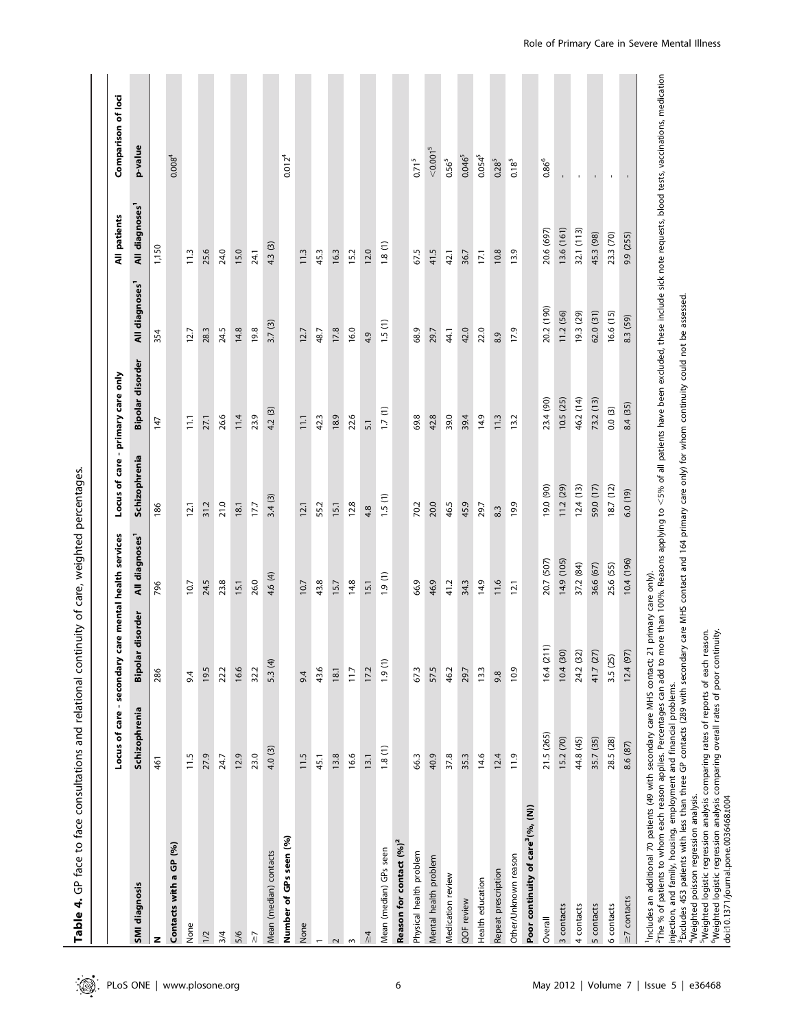|                                                                                                                                                                                                                                                                                                                                                                                                                                                                                                                                                                                                                                                                                                                 | Locus of care - secondary |                       | care mental health services | Locus of care - primary care only |                  |                            | All patients               | Comparison of loci                                                                                                                                                            |
|-----------------------------------------------------------------------------------------------------------------------------------------------------------------------------------------------------------------------------------------------------------------------------------------------------------------------------------------------------------------------------------------------------------------------------------------------------------------------------------------------------------------------------------------------------------------------------------------------------------------------------------------------------------------------------------------------------------------|---------------------------|-----------------------|-----------------------------|-----------------------------------|------------------|----------------------------|----------------------------|-------------------------------------------------------------------------------------------------------------------------------------------------------------------------------|
| SMI diagnosis                                                                                                                                                                                                                                                                                                                                                                                                                                                                                                                                                                                                                                                                                                   | Schizophrenia             | Bipolar disorder      | All diagnoses <sup>1</sup>  | Schizophrenia                     | Bipolar disorder | All diagnoses <sup>1</sup> | All diagnoses <sup>1</sup> | p-value                                                                                                                                                                       |
| z                                                                                                                                                                                                                                                                                                                                                                                                                                                                                                                                                                                                                                                                                                               | 461                       | 286                   | 796                         | 186                               | 147              | 354                        | 1,150                      |                                                                                                                                                                               |
| Contacts with a GP (%)                                                                                                                                                                                                                                                                                                                                                                                                                                                                                                                                                                                                                                                                                          |                           |                       |                             |                                   |                  |                            |                            | 0.008 <sup>4</sup>                                                                                                                                                            |
| None                                                                                                                                                                                                                                                                                                                                                                                                                                                                                                                                                                                                                                                                                                            | 11.5                      | 9.4                   | 10.7                        | 12.1                              | $\Xi$            | 12.7                       | $\frac{13}{2}$             |                                                                                                                                                                               |
| 1/2                                                                                                                                                                                                                                                                                                                                                                                                                                                                                                                                                                                                                                                                                                             | 27.9                      | 19.5                  | 24.5                        | 31.2                              | 27.1             | 28.3                       | 25.6                       |                                                                                                                                                                               |
| 3/4                                                                                                                                                                                                                                                                                                                                                                                                                                                                                                                                                                                                                                                                                                             | 24.7                      | 22.2                  | 23.8                        | 21.0                              | 26.6             | 24.5                       | 24.0                       |                                                                                                                                                                               |
| 5/6                                                                                                                                                                                                                                                                                                                                                                                                                                                                                                                                                                                                                                                                                                             | 12.9                      | 16.6                  | 15.1                        | 18.1                              | 11.4             | 14.8                       | 15.0                       |                                                                                                                                                                               |
| $\frac{1}{2}$                                                                                                                                                                                                                                                                                                                                                                                                                                                                                                                                                                                                                                                                                                   | 23.0                      | 32.2                  | 26.0                        | 17.7                              | 23.9             | 19.8                       | 24.1                       |                                                                                                                                                                               |
| Mean (median) contacts                                                                                                                                                                                                                                                                                                                                                                                                                                                                                                                                                                                                                                                                                          | 4.0 (3)                   | 5.3(4)                | 4.6 (4)                     | 3.4(3)                            | 4.2 (3)          | 3.7(3)                     | 4.3 (3)                    |                                                                                                                                                                               |
| Number of GPs seen (%)                                                                                                                                                                                                                                                                                                                                                                                                                                                                                                                                                                                                                                                                                          |                           |                       |                             |                                   |                  |                            |                            | $0.012^{4}$                                                                                                                                                                   |
| None                                                                                                                                                                                                                                                                                                                                                                                                                                                                                                                                                                                                                                                                                                            | 11.5                      | 9.4                   | 10.7                        | 12.1                              | $\overline{111}$ | 12.7                       | 11.3                       |                                                                                                                                                                               |
| $\overline{\phantom{0}}$                                                                                                                                                                                                                                                                                                                                                                                                                                                                                                                                                                                                                                                                                        | 45.1                      | 43.6                  | 43.8                        | 55.2                              | 42.3             | 48.7                       | 45.3                       |                                                                                                                                                                               |
| $\sim$                                                                                                                                                                                                                                                                                                                                                                                                                                                                                                                                                                                                                                                                                                          | 13.8                      | 18.1                  | 15.7                        | 15.1                              | 18.9             | 17.8                       | 16.3                       |                                                                                                                                                                               |
| $\sim$                                                                                                                                                                                                                                                                                                                                                                                                                                                                                                                                                                                                                                                                                                          | 16.6                      | 11.7                  | 14.8                        | 12.8                              | 22.6             | 16.0                       | 15.2                       |                                                                                                                                                                               |
| $\frac{1}{4}$                                                                                                                                                                                                                                                                                                                                                                                                                                                                                                                                                                                                                                                                                                   | 13.1                      | 17.2                  | 15.1                        | 4.8                               | 5.1              | 4.9                        | 12.0                       |                                                                                                                                                                               |
| Mean (median) GPs seen                                                                                                                                                                                                                                                                                                                                                                                                                                                                                                                                                                                                                                                                                          | 1.8(1)                    | 1.9(1)                | 1.9(1)                      | 1.5(1)                            | 1.7(1)           | 1.5(1)                     | 1.8(1)                     |                                                                                                                                                                               |
| Reason for contact (%) <sup>2</sup>                                                                                                                                                                                                                                                                                                                                                                                                                                                                                                                                                                                                                                                                             |                           |                       |                             |                                   |                  |                            |                            |                                                                                                                                                                               |
| Physical health problem                                                                                                                                                                                                                                                                                                                                                                                                                                                                                                                                                                                                                                                                                         | 66.3                      | 673                   | 66.9                        | 70.2                              | 69.8             | 68.9                       | 67.5                       | $0.71^{5}$                                                                                                                                                                    |
| Mental health problem                                                                                                                                                                                                                                                                                                                                                                                                                                                                                                                                                                                                                                                                                           | 40.9                      | 57.5                  | 46.9                        | 20.0                              | 42.8             | 29.7                       | 41.5                       | < 0.001 <sup>5</sup>                                                                                                                                                          |
| Medication review                                                                                                                                                                                                                                                                                                                                                                                                                                                                                                                                                                                                                                                                                               | 37.8                      | 46.2                  | 41.2                        | 46.5                              | 39.0             | 41                         | 42.1                       | $0.56^{5}$                                                                                                                                                                    |
| QOF review                                                                                                                                                                                                                                                                                                                                                                                                                                                                                                                                                                                                                                                                                                      | 35.3                      | 29.7                  | 34.3                        | 45.9                              | 39.4             | 42.0                       | 36.7                       | 0.046 <sup>5</sup>                                                                                                                                                            |
| Health education                                                                                                                                                                                                                                                                                                                                                                                                                                                                                                                                                                                                                                                                                                | 14.6                      | 13.3                  | 14.9                        | 29.7                              | 14.9             | 22.0                       | 17.1                       | $0.054^{5}$                                                                                                                                                                   |
| Repeat prescription                                                                                                                                                                                                                                                                                                                                                                                                                                                                                                                                                                                                                                                                                             | 12.4                      | 9.8                   | 11.6                        | 8.3                               | 11.3             | 8.9                        | 10.8                       | $0.28^{5}$                                                                                                                                                                    |
| Other/Unknown reason                                                                                                                                                                                                                                                                                                                                                                                                                                                                                                                                                                                                                                                                                            | 11.9                      | 10.9                  | 12.1                        | 19.9                              | 13.2             | 17.9                       | 13.9                       | $0.18^{5}$                                                                                                                                                                    |
| Poor continuity of care <sup>3</sup> (%, (N))                                                                                                                                                                                                                                                                                                                                                                                                                                                                                                                                                                                                                                                                   |                           |                       |                             |                                   |                  |                            |                            |                                                                                                                                                                               |
| Overall                                                                                                                                                                                                                                                                                                                                                                                                                                                                                                                                                                                                                                                                                                         | 21.5 (265)                | 16.4(211)             | 20.7 (507)                  | 19.0 (90)                         | 23.4 (90)        | 20.2 (190)                 | 20.6 (697)                 | $0.86^\circ$                                                                                                                                                                  |
| 3 contacts                                                                                                                                                                                                                                                                                                                                                                                                                                                                                                                                                                                                                                                                                                      | 15.2 (70)                 | 10.4(30)              | 14.9 (105)                  | 11.2(29)                          | 10.5(25)         | 11.2(56)                   | 13.6 (161)                 |                                                                                                                                                                               |
| 4 contacts                                                                                                                                                                                                                                                                                                                                                                                                                                                                                                                                                                                                                                                                                                      | 44.8 (45)                 | 24.2 (32)             | 37.2 (84)                   | 12.4(13)                          | 46.2 (14)        | 19.3 (29)                  | 32.1 (113)                 | $\mathbf{I}$                                                                                                                                                                  |
| 5 contacts                                                                                                                                                                                                                                                                                                                                                                                                                                                                                                                                                                                                                                                                                                      | 35.7 (35)                 |                       | 36.6 (67)                   | 59.0 (17)                         | 73.2(13)         | 62.0(31)                   | 45.3 (98)                  |                                                                                                                                                                               |
| 6 contacts                                                                                                                                                                                                                                                                                                                                                                                                                                                                                                                                                                                                                                                                                                      | 28.5 (28)                 | 41.7 (27)<br>3.5 (25) | 25.6 (55)                   | 18.7(12)                          | 0.0(3)           | 16.6 (15)                  | 23.3 (70)                  | $\mathbf{r}$                                                                                                                                                                  |
| $\geq$ 7 contacts                                                                                                                                                                                                                                                                                                                                                                                                                                                                                                                                                                                                                                                                                               | 8.6 (87)                  | 12.4 (97)             | 10.4 (196)                  | 6.0(19)                           | 8.4 (35)         | 8.3 (59)                   | 9.9 (255)                  | r.                                                                                                                                                                            |
| <sup>3</sup> Excludes 453 patients with less than three GP contacts (289 with secondary care MHS contact and 164 primary care only) for whom continuity could not be assessed.<br><sup>6</sup> Weighted logistic regression analysis comparing overall rates of poor continuity.<br>Includes an additional 70 patients (49 with secondary care MHS contact;<br><sup>2</sup> The % of patients to whom each reason applies. Percentages can add to<br><sup>5</sup> Weighted logistic regression analysis comparing rates of reports of each<br>injection, and family, housing, employment and financial problems.<br><sup>4</sup> Weighted poisson regression analysis.<br>doi:10.1371/journal.pone.0036468.t004 |                           | reason.               |                             |                                   |                  |                            |                            | 21 primary care only).<br>more than 100%. Reasons applying to <5% of all patients have been excluded, these include sick note requests, blood tests, vaccinations, medication |

Table 4. GP face to face consultations and relational continuity of care, weighted percentages. Table 4. GP face to face consultations and relational continuity of care, weighted percentages.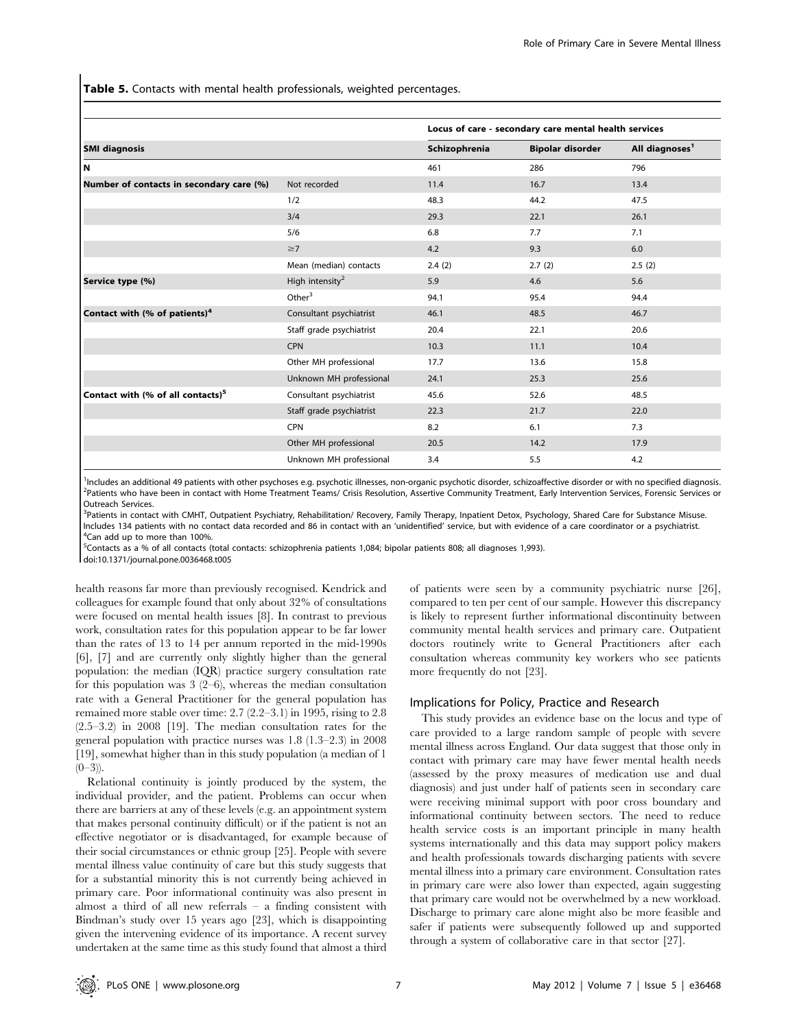Table 5. Contacts with mental health professionals, weighted percentages.

|                                               |                             |               | Locus of care - secondary care mental health services |                            |
|-----------------------------------------------|-----------------------------|---------------|-------------------------------------------------------|----------------------------|
| <b>SMI diagnosis</b>                          |                             | Schizophrenia | <b>Bipolar disorder</b>                               | All diagnoses <sup>1</sup> |
| l N                                           |                             | 461           | 286                                                   | 796                        |
| Number of contacts in secondary care (%)      | Not recorded                | 11.4          | 16.7                                                  | 13.4                       |
|                                               | 1/2                         | 48.3          | 44.2                                                  | 47.5                       |
|                                               | 3/4                         | 29.3          | 22.1                                                  | 26.1                       |
|                                               | 5/6                         | 6.8           | 7.7                                                   | 7.1                        |
|                                               | $\geq 7$                    | 4.2           | 9.3                                                   | 6.0                        |
|                                               | Mean (median) contacts      | 2.4(2)        | 2.7(2)                                                | 2.5(2)                     |
| Service type (%)                              | High intensity <sup>2</sup> | 5.9           | 4.6                                                   | 5.6                        |
|                                               | Other $3$                   | 94.1          | 95.4                                                  | 94.4                       |
| Contact with (% of patients) <sup>4</sup>     | Consultant psychiatrist     | 46.1          | 48.5                                                  | 46.7                       |
|                                               | Staff grade psychiatrist    | 20.4          | 22.1                                                  | 20.6                       |
|                                               | CPN                         | 10.3          | 11.1                                                  | 10.4                       |
|                                               | Other MH professional       | 17.7          | 13.6                                                  | 15.8                       |
|                                               | Unknown MH professional     | 24.1          | 25.3                                                  | 25.6                       |
| Contact with (% of all contacts) <sup>5</sup> | Consultant psychiatrist     | 45.6          | 52.6                                                  | 48.5                       |
|                                               | Staff grade psychiatrist    | 22.3          | 21.7                                                  | 22.0                       |
|                                               | <b>CPN</b>                  | 8.2           | 6.1                                                   | 7.3                        |
|                                               | Other MH professional       | 20.5          | 14.2                                                  | 17.9                       |
|                                               | Unknown MH professional     | 3.4           | 5.5                                                   | 4.2                        |

<sup>1</sup>Includes an additional 49 patients with other psychoses e.g. psychotic illnesses, non-organic psychotic disorder, schizoaffective disorder or with no specified diagnosis.<br><sup>2</sup>Patients who have been in contact with Home T <sup>2</sup>Patients who have been in contact with Home Treatment Teams/ Crisis Resolution, Assertive Community Treatment, Early Intervention Services, Forensic Services or Outreach Services.

<sup>3</sup>Patients in contact with CMHT, Outpatient Psychiatry, Rehabilitation/ Recovery, Family Therapy, Inpatient Detox, Psychology, Shared Care for Substance Misuse. Includes 134 patients with no contact data recorded and 86 in contact with an 'unidentified' service, but with evidence of a care coordinator or a psychiatrist. <sup>4</sup> <sup>4</sup>Can add up to more than 100%

5 Contacts as a % of all contacts (total contacts: schizophrenia patients 1,084; bipolar patients 808; all diagnoses 1,993).

doi:10.1371/journal.pone.0036468.t005

health reasons far more than previously recognised. Kendrick and colleagues for example found that only about 32% of consultations were focused on mental health issues [8]. In contrast to previous work, consultation rates for this population appear to be far lower than the rates of 13 to 14 per annum reported in the mid-1990s [6], [7] and are currently only slightly higher than the general population: the median (IQR) practice surgery consultation rate for this population was  $3(2-6)$ , whereas the median consultation rate with a General Practitioner for the general population has remained more stable over time: 2.7 (2.2–3.1) in 1995, rising to 2.8  $(2.5-3.2)$  in 2008 [19]. The median consultation rates for the general population with practice nurses was 1.8 (1.3–2.3) in 2008 [19], somewhat higher than in this study population (a median of 1  $(0-3)$ ).

Relational continuity is jointly produced by the system, the individual provider, and the patient. Problems can occur when there are barriers at any of these levels (e.g. an appointment system that makes personal continuity difficult) or if the patient is not an effective negotiator or is disadvantaged, for example because of their social circumstances or ethnic group [25]. People with severe mental illness value continuity of care but this study suggests that for a substantial minority this is not currently being achieved in primary care. Poor informational continuity was also present in almost a third of all new referrals – a finding consistent with Bindman's study over 15 years ago [23], which is disappointing given the intervening evidence of its importance. A recent survey undertaken at the same time as this study found that almost a third

of patients were seen by a community psychiatric nurse [26], compared to ten per cent of our sample. However this discrepancy is likely to represent further informational discontinuity between community mental health services and primary care. Outpatient doctors routinely write to General Practitioners after each consultation whereas community key workers who see patients more frequently do not [23].

#### Implications for Policy, Practice and Research

This study provides an evidence base on the locus and type of care provided to a large random sample of people with severe mental illness across England. Our data suggest that those only in contact with primary care may have fewer mental health needs (assessed by the proxy measures of medication use and dual diagnosis) and just under half of patients seen in secondary care were receiving minimal support with poor cross boundary and informational continuity between sectors. The need to reduce health service costs is an important principle in many health systems internationally and this data may support policy makers and health professionals towards discharging patients with severe mental illness into a primary care environment. Consultation rates in primary care were also lower than expected, again suggesting that primary care would not be overwhelmed by a new workload. Discharge to primary care alone might also be more feasible and safer if patients were subsequently followed up and supported through a system of collaborative care in that sector [27].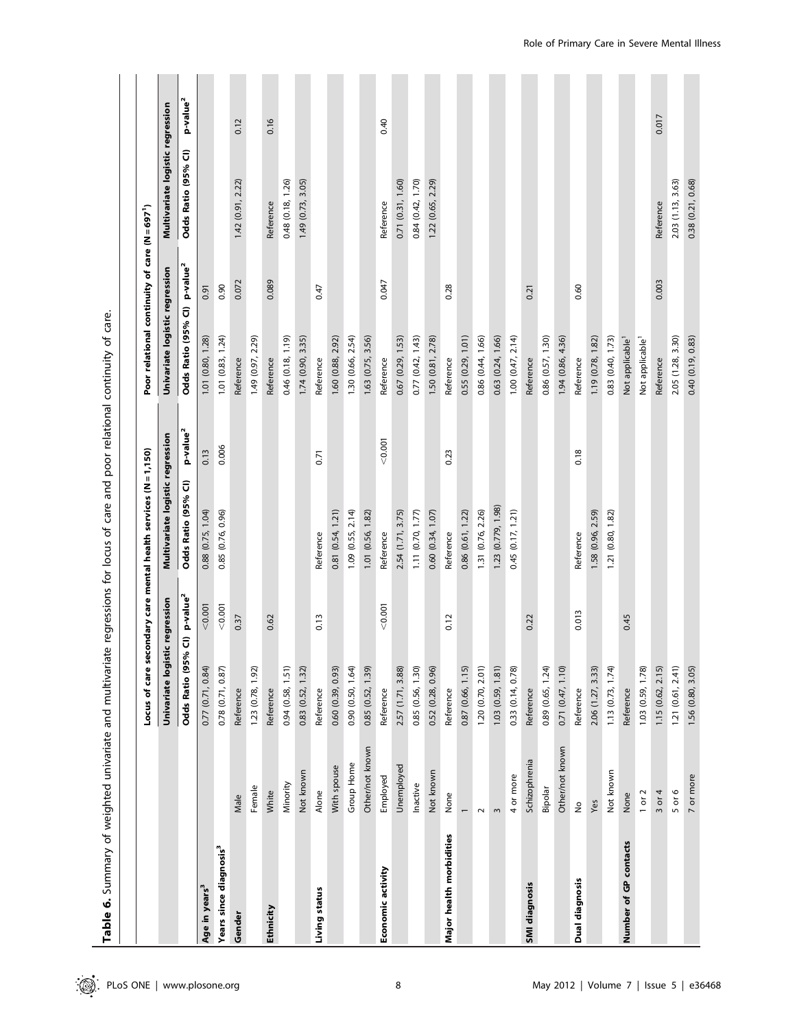|                                    |                          |                                          |                | e regressions for locus of care and poor relational continuity of care. |                      |                                             |                      |                                  |                      |
|------------------------------------|--------------------------|------------------------------------------|----------------|-------------------------------------------------------------------------|----------------------|---------------------------------------------|----------------------|----------------------------------|----------------------|
|                                    |                          |                                          |                | Locus of care secondary care mental health services (N = 1,150)         |                      | Poor relational continuity of care (N=6971) |                      |                                  |                      |
|                                    |                          | Univariate logist                        | tic regression | Multivariate logistic regression                                        |                      | Univariate logistic regression              |                      | Multivariate logistic regression |                      |
|                                    |                          | Odds Ratio (95% CI) p-value <sup>2</sup> |                | Odds Ratio (95% CI)                                                     | p-value <sup>2</sup> | Odds Ratio (95% CI)                         | p-value <sup>2</sup> | Odds Ratio (95% CI)              | p-value <sup>2</sup> |
| Age in years <sup>3</sup>          |                          | 0.77 (0.71, 0.84)                        | < 0.001        | $0.88$ $(0.75, 1.04)$                                                   | 0.13                 | 1.01 (0.80, 1.28)                           | 0.91                 |                                  |                      |
| Years since diagnosis <sup>3</sup> |                          | $0.78$ $(0.71, 0.87)$                    | 0.001          | 0.85 (0.76, 0.96)                                                       | 0.006                | 1.01(0.83, 1.24)                            | 0.90                 |                                  |                      |
| Gender                             | Male                     | Reference                                | 0.37           |                                                                         |                      | Reference                                   | 0.072                | 1.42(0.91, 2.22)                 | 0.12                 |
|                                    | Female                   | 1.23 (0.78, 1.92)                        |                |                                                                         |                      | 1.49 (0.97, 2.29)                           |                      |                                  |                      |
| Ethnicity                          | White                    | Reference                                | 0.62           |                                                                         |                      | Reference                                   | 0.089                | Reference                        | 0.16                 |
|                                    | Minority                 | 0.94 (0.58, 1.51)                        |                |                                                                         |                      | 0.46(0.18, 1.19)                            |                      | 0.48 (0.18, 1.26)                |                      |
|                                    | Not known                | 0.83 (0.52, 1.32)                        |                |                                                                         |                      | 1.74 (0.90, 3.35)                           |                      | 1.49 (0.73, 3.05)                |                      |
| Living status                      | Alone                    | Reference                                | 0.13           | Reference                                                               | 0.71                 | Reference                                   | 0.47                 |                                  |                      |
|                                    | With spouse              | 0.60 (0.39, 0.93)                        |                | 0.81(0.54, 1.21)                                                        |                      | 1.60 (0.88, 2.92)                           |                      |                                  |                      |
|                                    | Group Home               | 0.90 (0.50, 1.64)                        |                | 1.09(0.55, 2.14)                                                        |                      | 1.30 (0.66, 2.54)                           |                      |                                  |                      |
|                                    | Other/not known          | 0.85(0.52, 1.39)                         |                | 1.01 (0.56, 1.82)                                                       |                      | 1.63 (0.75, 3.56)                           |                      |                                  |                      |
| Economic activity                  | Employed                 | Reference                                | 0.001          | Reference                                                               | < 0.001              | Reference                                   | 0.047                | Reference                        | 0.40                 |
|                                    | Unemployed               | 2.57 (1.71, 3.88)                        |                | 2.54 (1.71, 3.75)                                                       |                      | 0.67 (0.29, 1.53)                           |                      | 0.71 (0.31, 1.60)                |                      |
|                                    | Inactive                 | 0.85 (0.56, 1.30)                        |                | 1.11 (0.70, 1.77)                                                       |                      | $0.77$ $(0.42, 1.43)$                       |                      | 0.84 (0.42, 1.70)                |                      |
|                                    | Not known                | 0.52 (0.28, 0.96)                        |                | 0.60 (0.34, 1.07)                                                       |                      | 1.50 (0.81, 2.78)                           |                      | 1.22 (0.65, 2.29)                |                      |
| Major health morbidities           | None                     | Reference                                | 0.12           | Reference                                                               | 0.23                 | Reference                                   | 0.28                 |                                  |                      |
|                                    | $\overline{\phantom{0}}$ | 0.87 (0.66, 1.15)                        |                | 0.86 (0.61, 1.22)                                                       |                      | 0.55(0.29, 1.01)                            |                      |                                  |                      |
|                                    | $\sim$                   | 1.20 (0.70, 2.01)                        |                | 1.31 (0.76, 2.26)                                                       |                      | 0.86 (0.44, 1.66)                           |                      |                                  |                      |
|                                    | $\sim$                   | 1.03 (0.59, 1.81)                        |                | 1.23 (0.779, 1.98)                                                      |                      | 0.63 (0.24, 1.66)                           |                      |                                  |                      |
|                                    | 4 or more                | 0.33 (0.14, 0.78)                        |                | 0.45(0.17, 1.21)                                                        |                      | 1.00(0.47, 2.14)                            |                      |                                  |                      |
| SMI diagnosis                      | Schizophrenia            | Reference                                | 0.22           |                                                                         |                      | Reference                                   | 0.21                 |                                  |                      |
|                                    | Bipolar                  | 0.89 (0.65, 1.24)                        |                |                                                                         |                      | 0.86 (0.57, 1.30)                           |                      |                                  |                      |
|                                    | Other/not known          | 0.71 (0.47, 1.10)                        |                |                                                                         |                      | 1.94 (0.86, 4.36)                           |                      |                                  |                      |
| Dual diagnosis                     | $\frac{\circ}{2}$        | Reference                                | 0.013          | Reference                                                               | 0.18                 | Reference                                   | 0.60                 |                                  |                      |
|                                    | Yes                      | 2.06 (1.27, 3.33)                        |                | 1.58 (0.96, 2.59)                                                       |                      | 1.19 (0.78, 1.82)                           |                      |                                  |                      |
|                                    | Not known                | 1.13(0.73, 1.74)                         |                | 1.21 (0.80, 1.82)                                                       |                      | 0.83 (0.40, 1.73)                           |                      |                                  |                      |
| Number of GP contacts              | None                     | Reference                                | 0.45           |                                                                         |                      | Not applicable <sup>1</sup>                 |                      |                                  |                      |
|                                    | $1$ or $2$               | 1.03 (0.59, 1.78)                        |                |                                                                         |                      | Not applicable <sup>1</sup>                 |                      |                                  |                      |
|                                    | $3$ or $4$               | 1.15(0.62, 2.15)                         |                |                                                                         |                      | Reference                                   | 0.003                | Reference                        | 0.017                |
|                                    | $5$ or $6$               | 1.21(0.61, 2.41)                         |                |                                                                         |                      | 2.05 (1.28, 3.30)                           |                      | 2.03 (1.13, 3.63)                |                      |
|                                    | 7 or more                | 1.56 (0.80, 3.05)                        |                |                                                                         |                      | 0.40 (0.19, 0.83)                           |                      | 0.38 (0.21, 0.68)                |                      |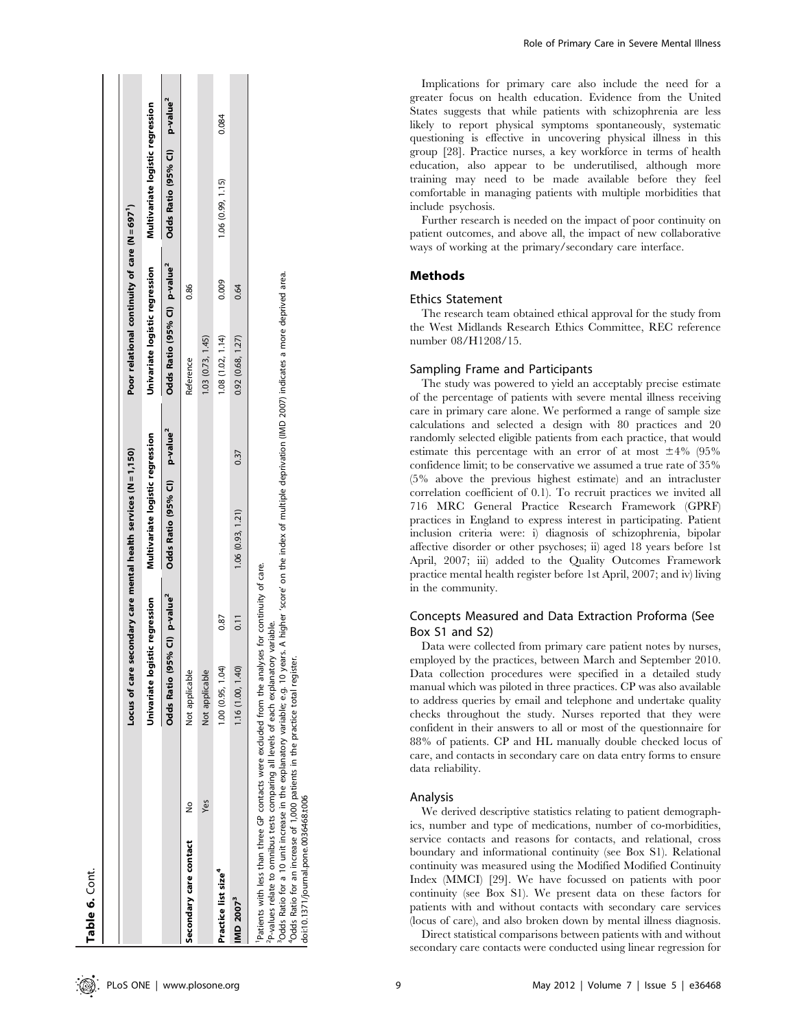| Table 6. Cont.                                                                                                                                                                                               |               |                                          |                                   |                                                                                                      |      |                                               |       |                                          |       |
|--------------------------------------------------------------------------------------------------------------------------------------------------------------------------------------------------------------|---------------|------------------------------------------|-----------------------------------|------------------------------------------------------------------------------------------------------|------|-----------------------------------------------|-------|------------------------------------------|-------|
|                                                                                                                                                                                                              |               |                                          |                                   |                                                                                                      |      |                                               |       |                                          |       |
|                                                                                                                                                                                                              |               |                                          |                                   | Locus of care secondary care mental health services (N = 1,150)                                      |      | Poor relational continuity of care (N = 697') |       |                                          |       |
|                                                                                                                                                                                                              |               | Univariate logistic regression           |                                   | Multivariate logistic regression                                                                     |      | Univariate logistic regression                |       | Multivariate logistic regression         |       |
|                                                                                                                                                                                                              |               | Odds Ratio (95% CI) p-value <sup>2</sup> |                                   | Odds Ratio (95% CI) p-value <sup>2</sup>                                                             |      | Odds Ratio (95% Cl) p-value <sup>2</sup>      |       | Odds Ratio (95% CI) p-value <sup>2</sup> |       |
| Secondary care contact                                                                                                                                                                                       | $\frac{1}{2}$ | Not applicable                           |                                   |                                                                                                      |      | Reference                                     | 0.86  |                                          |       |
|                                                                                                                                                                                                              | Yes           | Not applicable                           |                                   |                                                                                                      |      | 1.03(0.73, 1.45)                              |       |                                          |       |
| Practice list size <sup>4</sup>                                                                                                                                                                              |               | 1.00 (0.95, 1.04)                        | 0.87                              |                                                                                                      |      | 1.08(1.02, 1.14)                              | 0.009 | 1.06 (0.99, 1.15)                        | 0.084 |
| <b>IMD 2007<sup>3</sup></b>                                                                                                                                                                                  |               | 1.16 (1.00, 1.40)                        | $\overline{0.11}$                 | 1.06(0.93, 1.21)                                                                                     | 0.37 | 0.92(0.68, 1.27)                              | 0.64  |                                          |       |
| Patients with less than three GP contacts were excluded from the analyses for continuity of care.<br><sup>2</sup> P-values relate to omnibus tests comparing all levels of each explanatory<br>$\frac{1}{2}$ |               |                                          | variable.<br>$\ddot{\phantom{a}}$ | - 1990年1月18日 - 1990年1月1日 - 1990年1月1日 - 1990年1月1日 - 1990年1月1日 - 1990年1月1日 - 1990年1月1日 - 1990年1月1日 - 1 |      |                                               |       |                                          |       |

'Odds Ratio for a 10 unit increase in the explanatory variable; e.g. 10 years. A higher 'score' on the index of multiple deprivation (IMD 2007) indicates a more deprived area

<sup>3</sup>Odds Ratio for a 10 unit increase in the explanatory variable; e.g. 10 years. A higher 'score' on the index of multiple deprivation (IMD 2007) indicates a more deprived area.<br>"Odds Ratio for an increase of 1,000 patient Ratio for an increase of 1,000 patients in the practice total register. <sup>4</sup>Odds I

doi:10.1371/journal.pone.0036468.t006

doi:10.1371/journal.pone.0036468.t006

Role of Primary Care in Severe Mental Illness

Implications for primary care also include the need for a greater focus on health education. Evidence from the United States suggests that while patients with schizophrenia are less likely to report physical symptoms spontaneously, systematic questioning is effective in uncovering physical illness in this group [28]. Practice nurses, a key workforce in terms of health education, also appear to be underutilised, although more training may need to be made available before they feel comfortable in managing patients with multiple morbidities that include psychosis.

Further research is needed on the impact of poor continuity on patient outcomes, and above all, the impact of new collaborative ways of working at the primary/secondary care interface.

## Methods

## Ethics Statement

The research team obtained ethical approval for the study from the West Midlands Research Ethics Committee, REC reference number 08/H1208/15.

## Sampling Frame and Participants

The study was powered to yield an acceptably precise estimate of the percentage of patients with severe mental illness receiving care in primary care alone. We performed a range of sample size calculations and selected a design with 80 practices and 20 randomly selected eligible patients from each practice, that would estimate this percentage with an error of at most  $\pm 4\%$  (95% confidence limit; to be conservative we assumed a true rate of 35% (5% above the previous highest estimate) and an intracluster correlation coefficient of 0.1). To recruit practices we invited all 716 MRC General Practice Research Framework (GPRF) practices in England to express interest in participating. Patient inclusion criteria were: i) diagnosis of schizophrenia, bipolar affective disorder or other psychoses; ii) aged 18 years before 1st April, 2007; iii) added to the Quality Outcomes Framework practice mental health register before 1st April, 2007; and iv) living in the community.

## Concepts Measured and Data Extraction Proforma (See Box S1 and S2)

Data were collected from primary care patient notes by nurses, employed by the practices, between March and September 2010. Data collection procedures were specified in a detailed study manual which was piloted in three practices. CP was also available to address queries by email and telephone and undertake quality checks throughout the study. Nurses reported that they were confident in their answers to all or most of the questionnaire for 88% of patients. CP and HL manually double checked locus of care, and contacts in secondary care on data entry forms to ensure data reliability.

## Analysis

We derived descriptive statistics relating to patient demographics, number and type of medications, number of co-morbidities, service contacts and reasons for contacts, and relational, cross boundary and informational continuity (see Box S1). Relational continuity was measured using the Modified Modified Continuity Index (MMCI) [29]. We have focussed on patients with poor continuity (see Box S1). We present data on these factors for patients with and without contacts with secondary care services (locus of care), and also broken down by mental illness diagnosis.

Direct statistical comparisons between patients with and without secondary care contacts were conducted using linear regression for